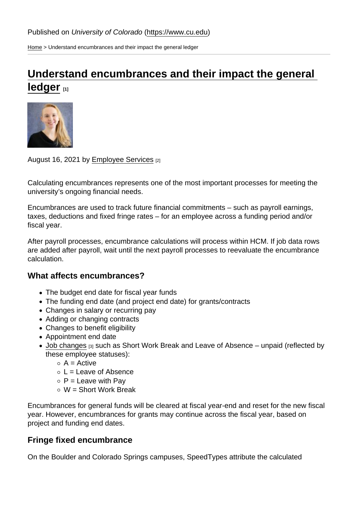[Home](https://www.cu.edu/) > Understand encumbrances and their impact the general ledger

## [Understand encumbrances and their impact the general](https://www.cu.edu/blog/hcm-community/understand-encumbrances-and-their-impact-general-ledger)  [ledger](https://www.cu.edu/blog/hcm-community/understand-encumbrances-and-their-impact-general-ledger) [1]

## August 16, 2021 by [Employee Services](https://www.cu.edu/blog/hcm-community/author/34887) [2]

Calculating encumbrances represents one of the most important processes for meeting the university's ongoing financial needs.

Encumbrances are used to track future financial commitments – such as payroll earnings, taxes, deductions and fixed fringe rates – for an employee across a funding period and/or fiscal year.

After payroll processes, encumbrance calculations will process within HCM. If job data rows are added after payroll, wait until the next payroll processes to reevaluate the encumbrance calculation.

## What affects encumbrances?

- The budget end date for fiscal year funds
- The funding end date (and project end date) for grants/contracts
- Changes in salary or recurring pay
- Adding or changing contracts
- Changes to benefit eligibility
- Appointment end date
- [Job changes](https://www.cu.edu/blog/hcm-community/job-changes-can-affect-encumbrances-general-ledger) [3] such as Short Work Break and Leave of Absence unpaid (reflected by these employee statuses):
	- $\circ$  A = Active
	- $\circ$  L = Leave of Absence
	- $\circ$  P = Leave with Pay
	- $\circ$  W = Short Work Break

Encumbrances for general funds will be cleared at fiscal year-end and reset for the new fiscal year. However, encumbrances for grants may continue across the fiscal year, based on project and funding end dates.

## Fringe fixed encumbrance

On the Boulder and Colorado Springs campuses, SpeedTypes attribute the calculated